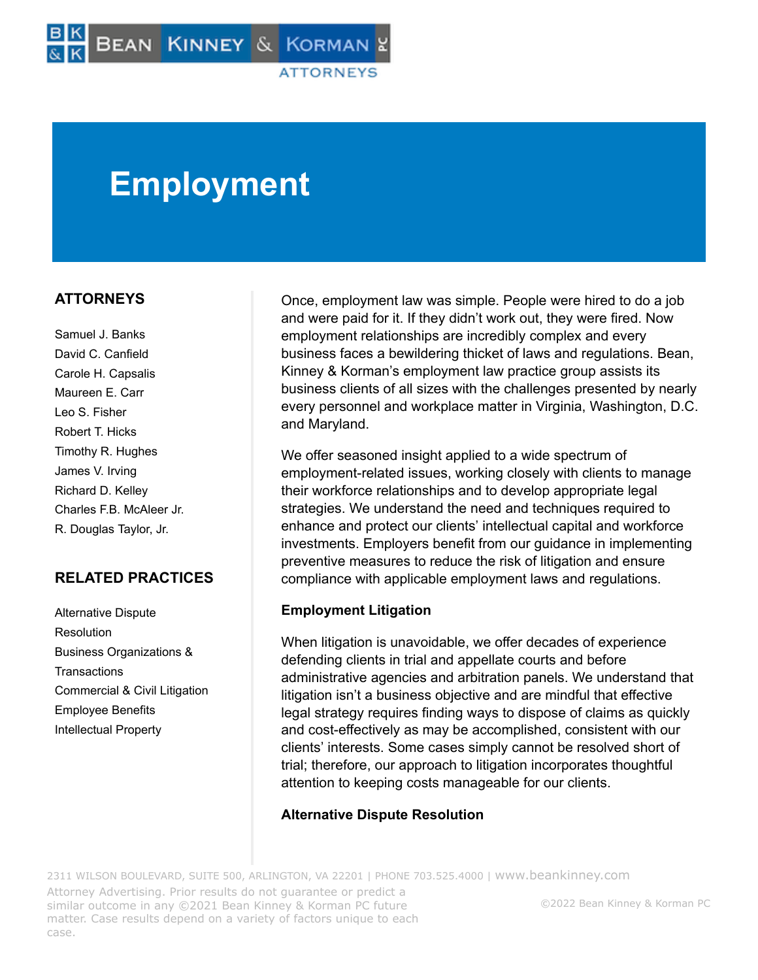# **Employment**

# **ATTORNEYS**

Samuel J. Banks David C. Canfield Carole H. Capsalis Maureen E. Carr Leo S. Fisher Robert T. Hicks Timothy R. Hughes James V. Irving Richard D. Kelley Charles F.B. McAleer Jr. R. Douglas Taylor, Jr.

# **RELATED PRACTICES**

Alternative Dispute Resolution Business Organizations & **Transactions** Commercial & Civil Litigation Employee Benefits Intellectual Property

Once, employment law was simple. People were hired to do a job and were paid for it. If they didn't work out, they were fired. Now employment relationships are incredibly complex and every business faces a bewildering thicket of laws and regulations. Bean, Kinney & Korman's employment law practice group assists its business clients of all sizes with the challenges presented by nearly every personnel and workplace matter in Virginia, Washington, D.C. and Maryland.

We offer seasoned insight applied to a wide spectrum of employment-related issues, working closely with clients to manage their workforce relationships and to develop appropriate legal strategies. We understand the need and techniques required to enhance and protect our clients' intellectual capital and workforce investments. Employers benefit from our guidance in implementing preventive measures to reduce the risk of litigation and ensure compliance with applicable employment laws and regulations.

## **Employment Litigation**

When litigation is unavoidable, we offer decades of experience defending clients in trial and appellate courts and before administrative agencies and arbitration panels. We understand that litigation isn't a business objective and are mindful that effective legal strategy requires finding ways to dispose of claims as quickly and cost-effectively as may be accomplished, consistent with our clients' interests. Some cases simply cannot be resolved short of trial; therefore, our approach to litigation incorporates thoughtful attention to keeping costs manageable for our clients.

## **Alternative Dispute Resolution**

2311 WILSON BOULEVARD, SUITE 500, ARLINGTON, VA 22201 | PHONE 703.525.4000 | [www.beankinney.com](http://www.beankinney.com/) Attorney Advertising. Prior results do not guarantee or predict a similar outcome in any ©2021 Bean Kinney & Korman PC future matter. Case results depend on a variety of factors unique to each case. ©2022 Bean Kinney & Korman PC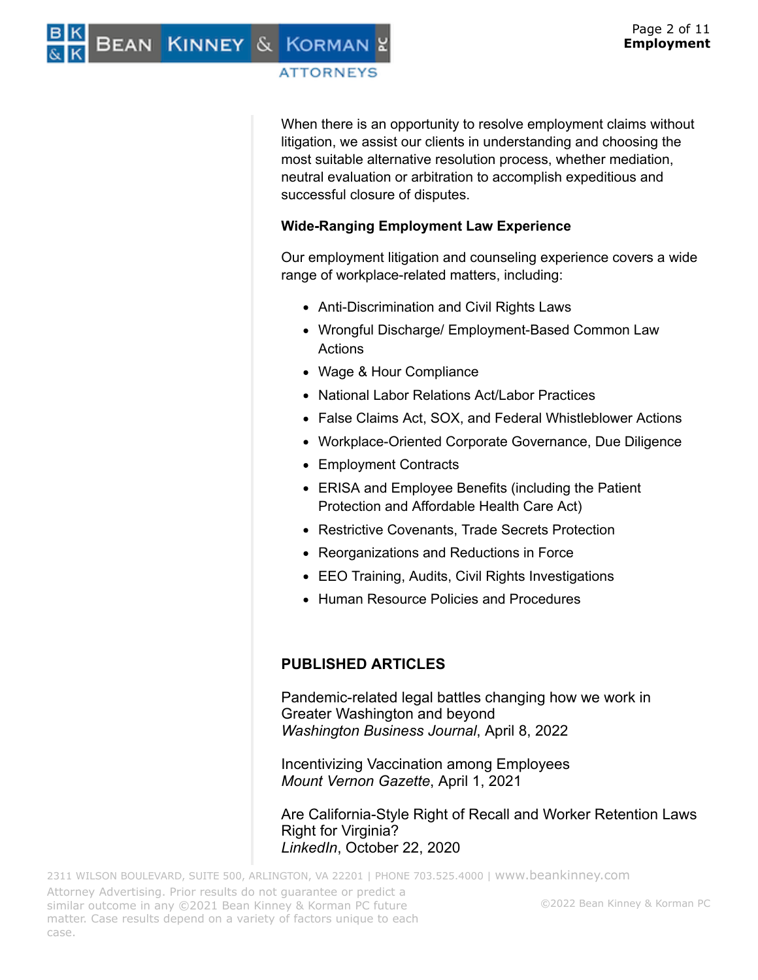BEAN KINNEY & KORMAN

## **ATTORNEYS**

When there is an opportunity to resolve employment claims without litigation, we assist our clients in understanding and choosing the most suitable alternative resolution process, whether mediation, neutral evaluation or arbitration to accomplish expeditious and successful closure of disputes.

## **Wide-Ranging Employment Law Experience**

Our employment litigation and counseling experience covers a wide range of workplace-related matters, including:

- Anti-Discrimination and Civil Rights Laws
- Wrongful Discharge/ Employment-Based Common Law Actions
- Wage & Hour Compliance
- National Labor Relations Act/Labor Practices
- False Claims Act, SOX, and Federal Whistleblower Actions
- Workplace-Oriented Corporate Governance, Due Diligence
- Employment Contracts
- ERISA and Employee Benefits (including the Patient Protection and Affordable Health Care Act)
- Restrictive Covenants, Trade Secrets Protection
- Reorganizations and Reductions in Force
- EEO Training, Audits, Civil Rights Investigations
- Human Resource Policies and Procedures

## **PUBLISHED ARTICLES**

Pandemic-related legal battles changing how we work in Greater Washington and beyond *Washington Business Journal*, April 8, 2022

Incentivizing Vaccination among Employees *Mount Vernon Gazette*, April 1, 2021

Are California-Style Right of Recall and Worker Retention Laws Right for Virginia? *LinkedIn*, October 22, 2020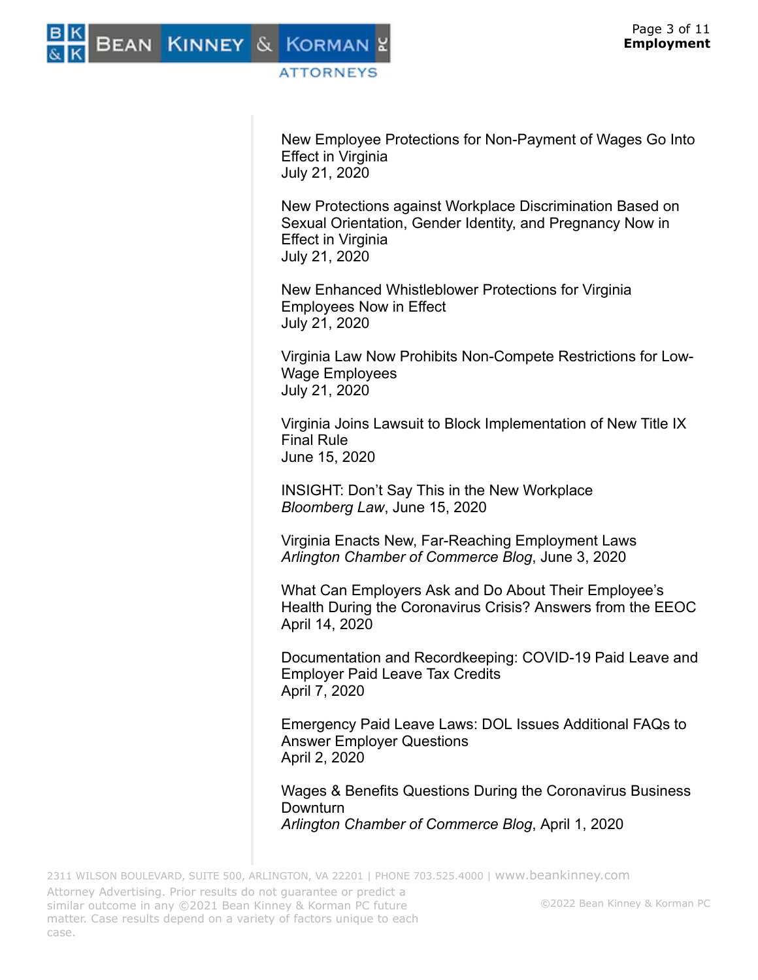New Employee Protections for Non-Payment of Wages Go Into Effect in Virginia July 21, 2020

New Protections against Workplace Discrimination Based on Sexual Orientation, Gender Identity, and Pregnancy Now in Effect in Virginia July 21, 2020

New Enhanced Whistleblower Protections for Virginia Employees Now in Effect July 21, 2020

Virginia Law Now Prohibits Non-Compete Restrictions for Low-Wage Employees July 21, 2020

Virginia Joins Lawsuit to Block Implementation of New Title IX Final Rule June 15, 2020

INSIGHT: Don't Say This in the New Workplace *Bloomberg Law*, June 15, 2020

Virginia Enacts New, Far-Reaching Employment Laws *Arlington Chamber of Commerce Blog*, June 3, 2020

What Can Employers Ask and Do About Their Employee's Health During the Coronavirus Crisis? Answers from the EEOC April 14, 2020

Documentation and Recordkeeping: COVID-19 Paid Leave and Employer Paid Leave Tax Credits April 7, 2020

Emergency Paid Leave Laws: DOL Issues Additional FAQs to Answer Employer Questions April 2, 2020

Wages & Benefits Questions During the Coronavirus Business Downturn *Arlington Chamber of Commerce Blog*, April 1, 2020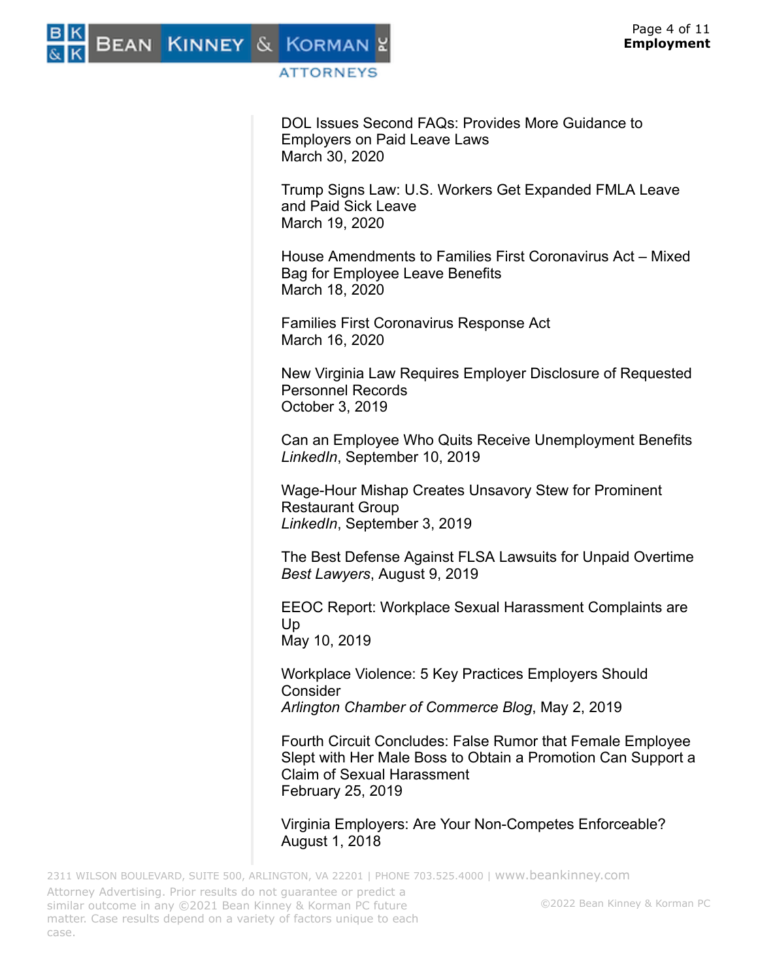

DOL Issues Second FAQs: Provides More Guidance to Employers on Paid Leave Laws March 30, 2020

Trump Signs Law: U.S. Workers Get Expanded FMLA Leave and Paid Sick Leave March 19, 2020

House Amendments to Families First Coronavirus Act – Mixed Bag for Employee Leave Benefits March 18, 2020

Families First Coronavirus Response Act March 16, 2020

New Virginia Law Requires Employer Disclosure of Requested Personnel Records October 3, 2019

Can an Employee Who Quits Receive Unemployment Benefits *LinkedIn*, September 10, 2019

Wage-Hour Mishap Creates Unsavory Stew for Prominent Restaurant Group *LinkedIn*, September 3, 2019

The Best Defense Against FLSA Lawsuits for Unpaid Overtime *Best Lawyers*, August 9, 2019

EEOC Report: Workplace Sexual Harassment Complaints are Up May 10, 2019

Workplace Violence: 5 Key Practices Employers Should **Consider** *Arlington Chamber of Commerce Blog*, May 2, 2019

Fourth Circuit Concludes: False Rumor that Female Employee Slept with Her Male Boss to Obtain a Promotion Can Support a Claim of Sexual Harassment February 25, 2019

Virginia Employers: Are Your Non-Competes Enforceable? August 1, 2018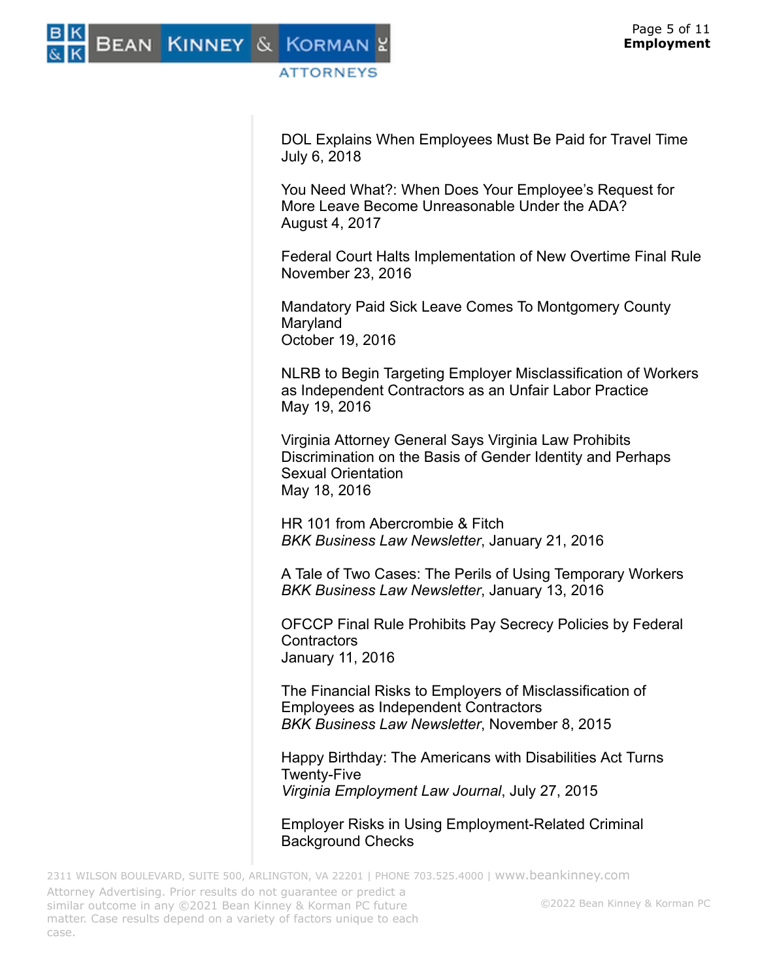DOL Explains When Employees Must Be Paid for Travel Time July 6, 2018

You Need What?: When Does Your Employee's Request for More Leave Become Unreasonable Under the ADA? August 4, 2017

Federal Court Halts Implementation of New Overtime Final Rule November 23, 2016

Mandatory Paid Sick Leave Comes To Montgomery County Maryland October 19, 2016

NLRB to Begin Targeting Employer Misclassification of Workers as Independent Contractors as an Unfair Labor Practice May 19, 2016

Virginia Attorney General Says Virginia Law Prohibits Discrimination on the Basis of Gender Identity and Perhaps Sexual Orientation May 18, 2016

HR 101 from Abercrombie & Fitch *BKK Business Law Newsletter*, January 21, 2016

A Tale of Two Cases: The Perils of Using Temporary Workers *BKK Business Law Newsletter*, January 13, 2016

OFCCP Final Rule Prohibits Pay Secrecy Policies by Federal **Contractors** January 11, 2016

The Financial Risks to Employers of Misclassification of Employees as Independent Contractors *BKK Business Law Newsletter*, November 8, 2015

Happy Birthday: The Americans with Disabilities Act Turns Twenty-Five *Virginia Employment Law Journal*, July 27, 2015

Employer Risks in Using Employment-Related Criminal Background Checks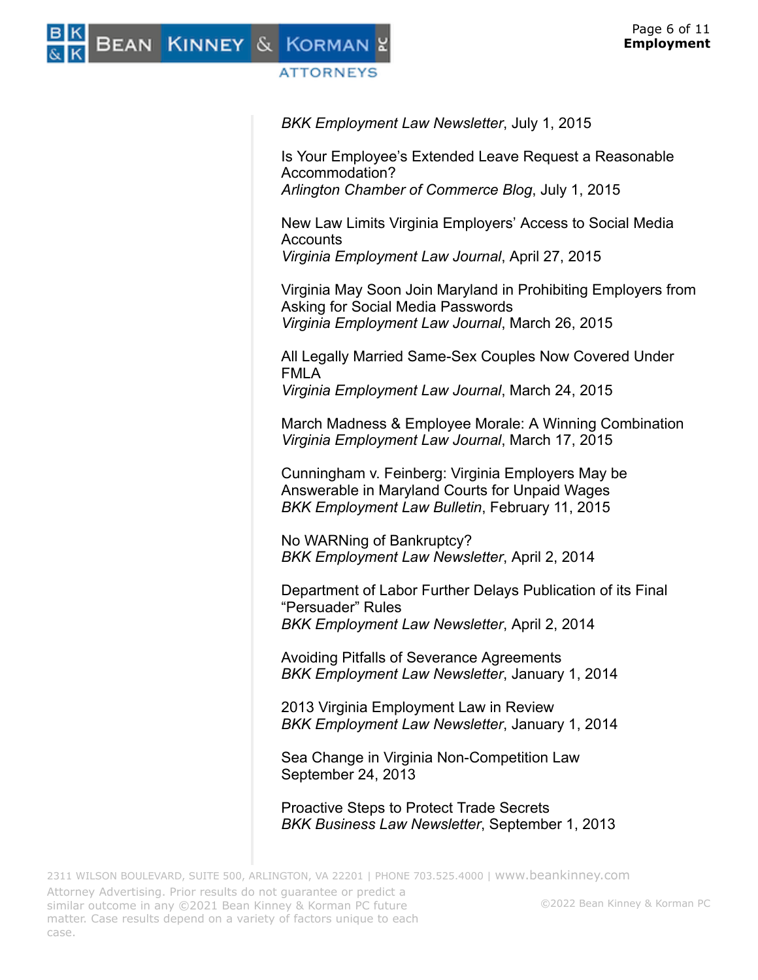

*BKK Employment Law Newsletter*, July 1, 2015

Is Your Employee's Extended Leave Request a Reasonable Accommodation? *Arlington Chamber of Commerce Blog*, July 1, 2015

New Law Limits Virginia Employers' Access to Social Media **Accounts** 

*Virginia Employment Law Journal*, April 27, 2015

Virginia May Soon Join Maryland in Prohibiting Employers from Asking for Social Media Passwords *Virginia Employment Law Journal*, March 26, 2015

All Legally Married Same-Sex Couples Now Covered Under FMLA *Virginia Employment Law Journal*, March 24, 2015

March Madness & Employee Morale: A Winning Combination *Virginia Employment Law Journal*, March 17, 2015

Cunningham v. Feinberg: Virginia Employers May be Answerable in Maryland Courts for Unpaid Wages *BKK Employment Law Bulletin*, February 11, 2015

No WARNing of Bankruptcy? *BKK Employment Law Newsletter*, April 2, 2014

Department of Labor Further Delays Publication of its Final "Persuader" Rules *BKK Employment Law Newsletter*, April 2, 2014

Avoiding Pitfalls of Severance Agreements *BKK Employment Law Newsletter*, January 1, 2014

2013 Virginia Employment Law in Review *BKK Employment Law Newsletter*, January 1, 2014

Sea Change in Virginia Non-Competition Law September 24, 2013

Proactive Steps to Protect Trade Secrets *BKK Business Law Newsletter*, September 1, 2013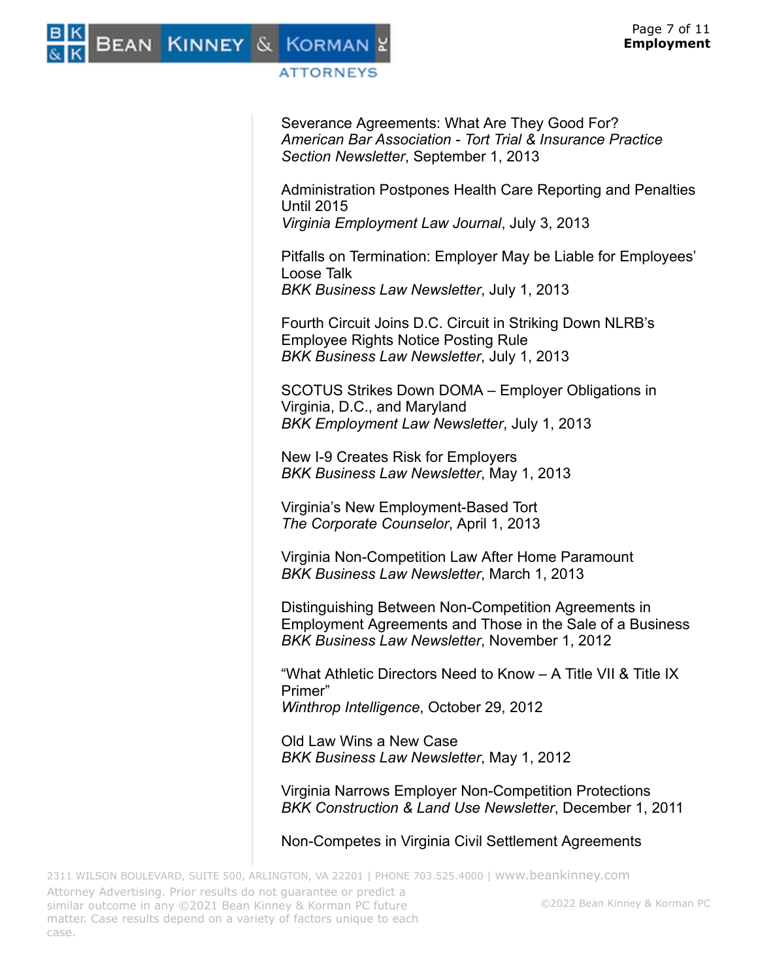

Severance Agreements: What Are They Good For? *American Bar Association - Tort Trial & Insurance Practice Section Newsletter*, September 1, 2013

Administration Postpones Health Care Reporting and Penalties Until 2015 *Virginia Employment Law Journal*, July 3, 2013

Pitfalls on Termination: Employer May be Liable for Employees' Loose Talk *BKK Business Law Newsletter*, July 1, 2013

Fourth Circuit Joins D.C. Circuit in Striking Down NLRB's Employee Rights Notice Posting Rule *BKK Business Law Newsletter*, July 1, 2013

SCOTUS Strikes Down DOMA – Employer Obligations in Virginia, D.C., and Maryland *BKK Employment Law Newsletter*, July 1, 2013

New I-9 Creates Risk for Employers *BKK Business Law Newsletter*, May 1, 2013

Virginia's New Employment-Based Tort *The Corporate Counselor*, April 1, 2013

Virginia Non-Competition Law After Home Paramount *BKK Business Law Newsletter*, March 1, 2013

Distinguishing Between Non-Competition Agreements in Employment Agreements and Those in the Sale of a Business *BKK Business Law Newsletter*, November 1, 2012

"What Athletic Directors Need to Know – A Title VII & Title IX Primer" *Winthrop Intelligence*, October 29, 2012

Old Law Wins a New Case *BKK Business Law Newsletter*, May 1, 2012

Virginia Narrows Employer Non-Competition Protections *BKK Construction & Land Use Newsletter*, December 1, 2011

Non-Competes in Virginia Civil Settlement Agreements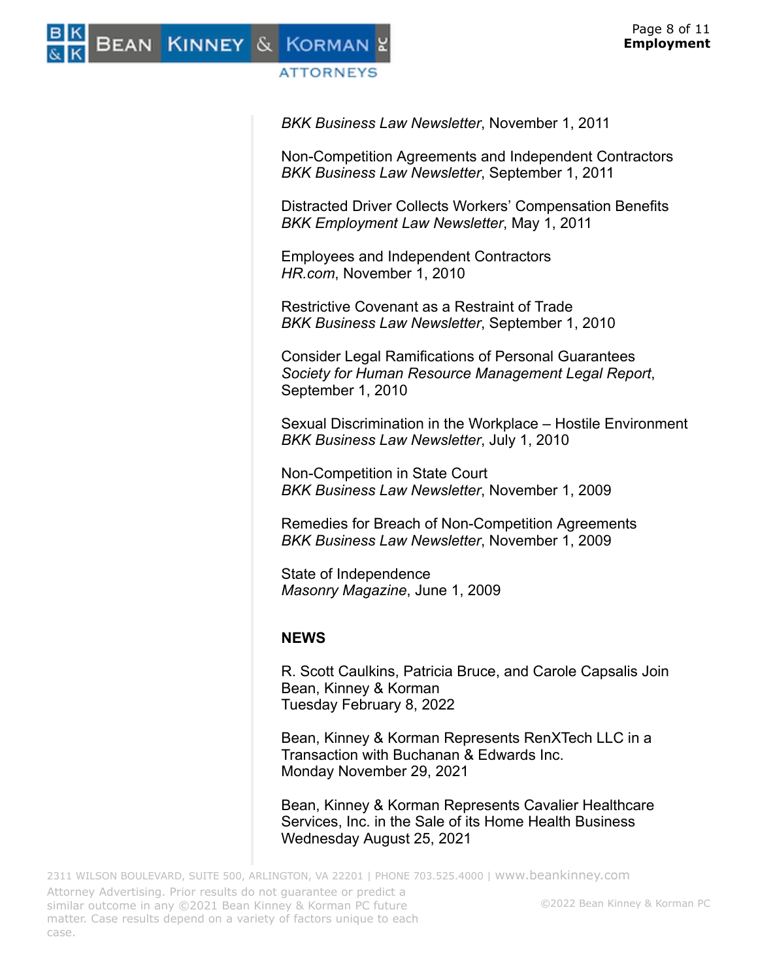

*BKK Business Law Newsletter*, November 1, 2011

Non-Competition Agreements and Independent Contractors *BKK Business Law Newsletter*, September 1, 2011

Distracted Driver Collects Workers' Compensation Benefits *BKK Employment Law Newsletter*, May 1, 2011

Employees and Independent Contractors *HR.com*, November 1, 2010

Restrictive Covenant as a Restraint of Trade *BKK Business Law Newsletter*, September 1, 2010

Consider Legal Ramifications of Personal Guarantees *Society for Human Resource Management Legal Report*, September 1, 2010

Sexual Discrimination in the Workplace – Hostile Environment *BKK Business Law Newsletter*, July 1, 2010

Non-Competition in State Court *BKK Business Law Newsletter*, November 1, 2009

Remedies for Breach of Non-Competition Agreements *BKK Business Law Newsletter*, November 1, 2009

State of Independence *Masonry Magazine*, June 1, 2009

# **NEWS**

R. Scott Caulkins, Patricia Bruce, and Carole Capsalis Join Bean, Kinney & Korman Tuesday February 8, 2022

Bean, Kinney & Korman Represents RenXTech LLC in a Transaction with Buchanan & Edwards Inc. Monday November 29, 2021

Bean, Kinney & Korman Represents Cavalier Healthcare Services, Inc. in the Sale of its Home Health Business Wednesday August 25, 2021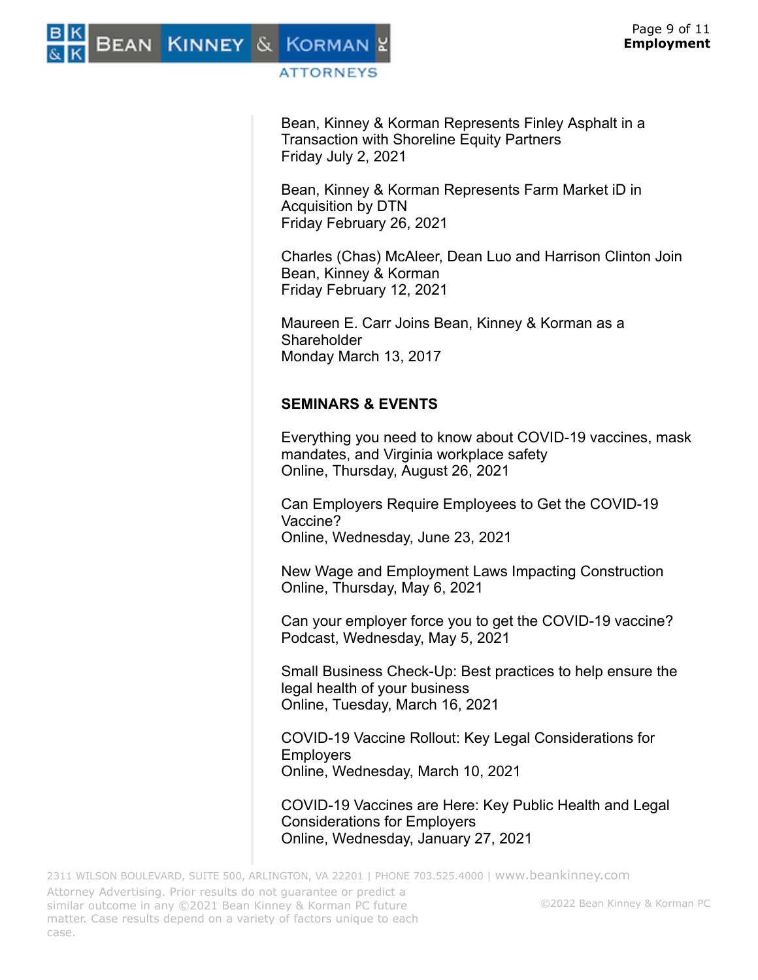

Bean, Kinney & Korman Represents Finley Asphalt in a Transaction with Shoreline Equity Partners Friday July 2, 2021

Bean, Kinney & Korman Represents Farm Market iD in Acquisition by DTN Friday February 26, 2021

Charles (Chas) McAleer, Dean Luo and Harrison Clinton Join Bean, Kinney & Korman Friday February 12, 2021

Maureen E. Carr Joins Bean, Kinney & Korman as a **Shareholder** Monday March 13, 2017

# **SEMINARS & EVENTS**

Everything you need to know about COVID-19 vaccines, mask mandates, and Virginia workplace safety Online, Thursday, August 26, 2021

Can Employers Require Employees to Get the COVID-19 Vaccine? Online, Wednesday, June 23, 2021

New Wage and Employment Laws Impacting Construction Online, Thursday, May 6, 2021

Can your employer force you to get the COVID-19 vaccine? Podcast, Wednesday, May 5, 2021

Small Business Check-Up: Best practices to help ensure the legal health of your business Online, Tuesday, March 16, 2021

COVID-19 Vaccine Rollout: Key Legal Considerations for **Employers** Online, Wednesday, March 10, 2021

COVID-19 Vaccines are Here: Key Public Health and Legal Considerations for Employers Online, Wednesday, January 27, 2021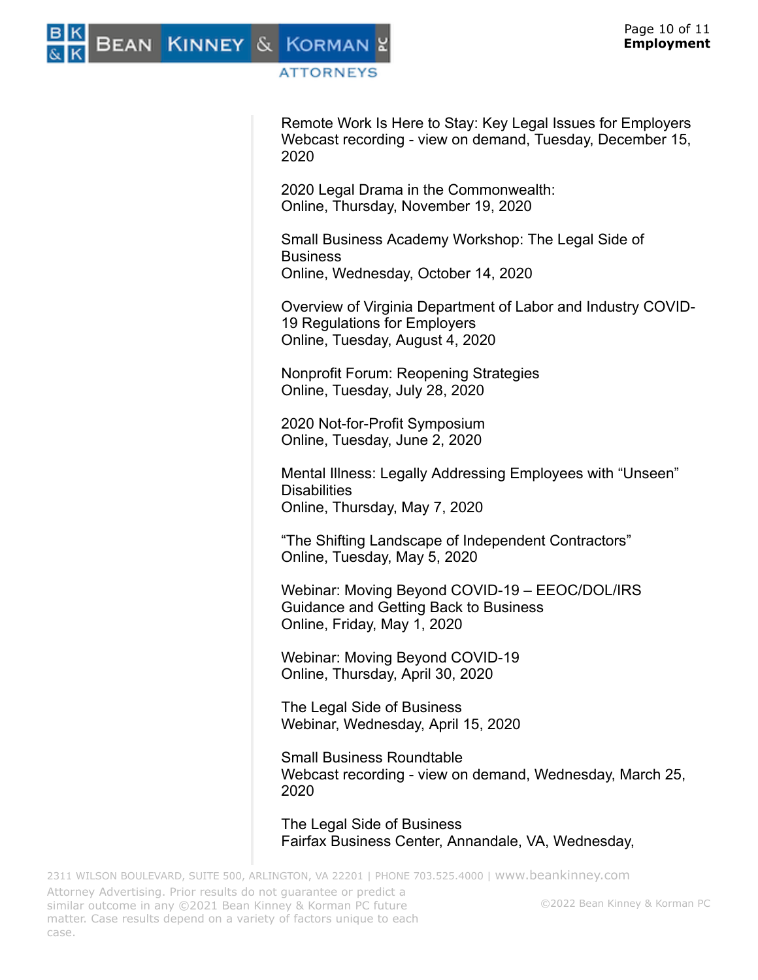

Remote Work Is Here to Stay: Key Legal Issues for Employers Webcast recording - view on demand, Tuesday, December 15, 2020

2020 Legal Drama in the Commonwealth: Online, Thursday, November 19, 2020

Small Business Academy Workshop: The Legal Side of Business Online, Wednesday, October 14, 2020

Overview of Virginia Department of Labor and Industry COVID-19 Regulations for Employers Online, Tuesday, August 4, 2020

Nonprofit Forum: Reopening Strategies Online, Tuesday, July 28, 2020

2020 Not-for-Profit Symposium Online, Tuesday, June 2, 2020

Mental Illness: Legally Addressing Employees with "Unseen" **Disabilities** Online, Thursday, May 7, 2020

"The Shifting Landscape of Independent Contractors" Online, Tuesday, May 5, 2020

Webinar: Moving Beyond COVID-19 – EEOC/DOL/IRS Guidance and Getting Back to Business Online, Friday, May 1, 2020

Webinar: Moving Beyond COVID-19 Online, Thursday, April 30, 2020

The Legal Side of Business Webinar, Wednesday, April 15, 2020

Small Business Roundtable Webcast recording - view on demand, Wednesday, March 25, 2020

The Legal Side of Business Fairfax Business Center, Annandale, VA, Wednesday,